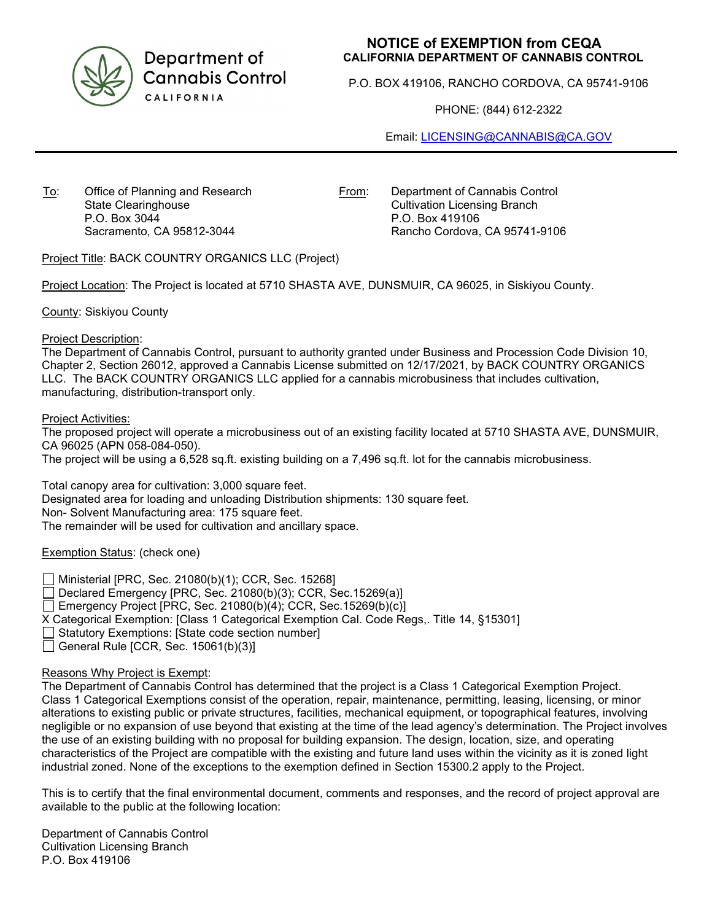

Department of **Cannabis Control** CALIFORNIA

## **NOTICE of EXEMPTION from CEQA CALIFORNIA DEPARTMENT OF CANNABIS CONTROL**

P.O. BOX 419106, RANCHO CORDOVA, CA 95741-9106

PHONE: (844) 612-2322

Email: [LICENSING@CANNABIS@CA.GOV](mailto:LICENSING@CANNABIS@CA.GOV)

To: Office of Planning and Research State Clearinghouse P.O. Box 3044 Sacramento, CA 95812-3044

From: Department of Cannabis Control Cultivation Licensing Branch P.O. Box 419106 Rancho Cordova, CA 95741-9106

Project Title: BACK COUNTRY ORGANICS LLC (Project)

Project Location: The Project is located at 5710 SHASTA AVE, DUNSMUIR, CA 96025, in Siskiyou County.

County: Siskiyou County

Project Description:

The Department of Cannabis Control, pursuant to authority granted under Business and Procession Code Division 10, Chapter 2, Section 26012, approved a Cannabis License submitted on 12/17/2021, by BACK COUNTRY ORGANICS LLC. The BACK COUNTRY ORGANICS LLC applied for a cannabis microbusiness that includes cultivation, manufacturing, distribution-transport only.

Project Activities:

The proposed project will operate a microbusiness out of an existing facility located at 5710 SHASTA AVE, DUNSMUIR, CA 96025 (APN 058-084-050).

The project will be using a 6,528 sq.ft. existing building on a 7,496 sq.ft. lot for the cannabis microbusiness.

Total canopy area for cultivation: 3,000 square feet. Designated area for loading and unloading Distribution shipments: 130 square feet. Non- Solvent Manufacturing area: 175 square feet. The remainder will be used for cultivation and ancillary space.

Exemption Status: (check one)

Ministerial [PRC, Sec. 21080(b)(1); CCR, Sec. 15268]

 $\Box$  Declared Emergency [PRC, Sec. 21080(b)(3); CCR, Sec. 15269(a)]

Emergency Project [PRC, Sec. 21080(b)(4); CCR, Sec. 15269(b)(c)]

X Categorical Exemption: [Class 1 Categorical Exemption Cal. Code Regs,. Title 14, §15301]

 $\Box$  Statutory Exemptions: [State code section number]

General Rule [CCR, Sec.  $15061(b)(3)$ ]

## Reasons Why Project is Exempt:

The Department of Cannabis Control has determined that the project is a Class 1 Categorical Exemption Project. Class 1 Categorical Exemptions consist of the operation, repair, maintenance, permitting, leasing, licensing, or minor alterations to existing public or private structures, facilities, mechanical equipment, or topographical features, involving negligible or no expansion of use beyond that existing at the time of the lead agency's determination. The Project involves the use of an existing building with no proposal for building expansion. The design, location, size, and operating characteristics of the Project are compatible with the existing and future land uses within the vicinity as it is zoned light industrial zoned. None of the exceptions to the exemption defined in Section 15300.2 apply to the Project.

This is to certify that the final environmental document, comments and responses, and the record of project approval are available to the public at the following location:

Department of Cannabis Control Cultivation Licensing Branch P.O. Box 419106